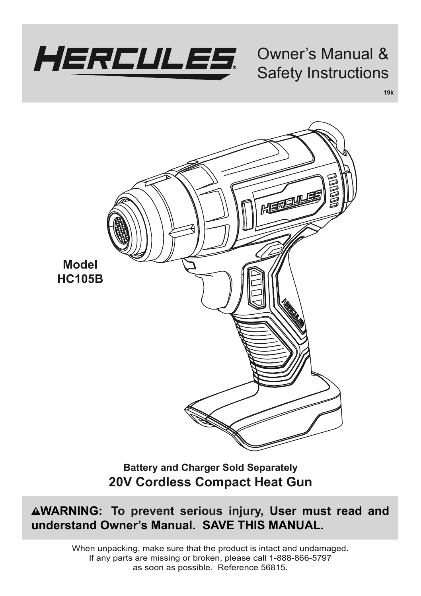

Owner's Manual & Safety Instructions

**19k**

一個型 **Model HC105B**

> **Battery and Charger Sold Separately 20V Cordless Compact Heat Gun**

**WARNING: To prevent serious injury, User must read and understand Owner's Manual. SAVE THIS MANUAL***.*

> When unpacking, make sure that the product is intact and undamaged. If any parts are missing or broken, please call 1-888-866-5797 as soon as possible. Reference 56815.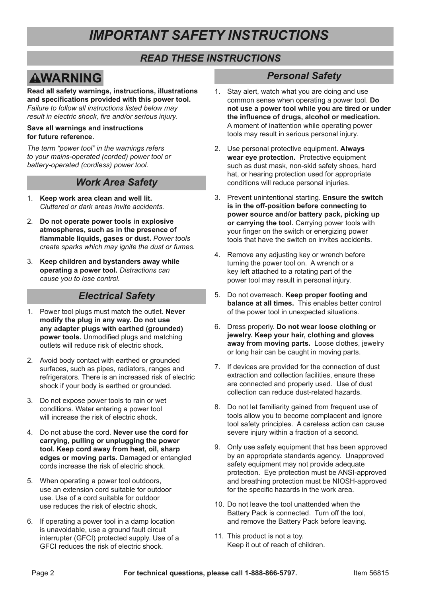# *IMPORTANT SAFETY INSTRUCTIONS*

#### *READ THESE INSTRUCTIONS*

# **AWARNING**

**Read all safety warnings, instructions, illustrations and specifications provided with this power tool.**  *Failure to follow all instructions listed below may result in electric shock, fire and/or serious injury.*

#### **Save all warnings and instructions for future reference.**

*The term "power tool" in the warnings refers to your mains-operated (corded) power tool or battery-operated (cordless) power tool.*

#### *Work Area Safety*

- 1. **Keep work area clean and well lit.**  *Cluttered or dark areas invite accidents.*
- 2. **Do not operate power tools in explosive atmospheres, such as in the presence of flammable liquids, gases or dust.** *Power tools create sparks which may ignite the dust or fumes.*
- 3. **Keep children and bystanders away while operating a power tool.** *Distractions can cause you to lose control.*

## *Electrical Safety*

- 1. Power tool plugs must match the outlet. **Never modify the plug in any way. Do not use any adapter plugs with earthed (grounded) power tools.** Unmodified plugs and matching outlets will reduce risk of electric shock.
- 2. Avoid body contact with earthed or grounded surfaces, such as pipes, radiators, ranges and refrigerators. There is an increased risk of electric shock if your body is earthed or grounded.
- 3. Do not expose power tools to rain or wet conditions. Water entering a power tool will increase the risk of electric shock
- 4. Do not abuse the cord. **Never use the cord for carrying, pulling or unplugging the power tool. Keep cord away from heat, oil, sharp edges or moving parts.** Damaged or entangled cords increase the risk of electric shock.
- 5. When operating a power tool outdoors, use an extension cord suitable for outdoor use. Use of a cord suitable for outdoor use reduces the risk of electric shock.
- 6. If operating a power tool in a damp location is unavoidable, use a ground fault circuit interrupter (GFCI) protected supply. Use of a GFCI reduces the risk of electric shock.

#### *Personal Safety*

- 1. Stay alert, watch what you are doing and use common sense when operating a power tool. **Do not use a power tool while you are tired or under the influence of drugs, alcohol or medication.**  A moment of inattention while operating power tools may result in serious personal injury.
- 2. Use personal protective equipment. **Always wear eye protection.** Protective equipment such as dust mask, non-skid safety shoes, hard hat, or hearing protection used for appropriate conditions will reduce personal injuries.
- 3. Prevent unintentional starting. **Ensure the switch is in the off-position before connecting to power source and/or battery pack, picking up or carrying the tool.** Carrying power tools with your finger on the switch or energizing power tools that have the switch on invites accidents.
- 4. Remove any adjusting key or wrench before turning the power tool on. A wrench or a key left attached to a rotating part of the power tool may result in personal injury.
- 5. Do not overreach. **Keep proper footing and balance at all times.** This enables better control of the power tool in unexpected situations.
- 6. Dress properly. **Do not wear loose clothing or jewelry. Keep your hair, clothing and gloves away from moving parts.** Loose clothes, jewelry or long hair can be caught in moving parts.
- 7. If devices are provided for the connection of dust extraction and collection facilities, ensure these are connected and properly used. Use of dust collection can reduce dust-related hazards.
- 8. Do not let familiarity gained from frequent use of tools allow you to become complacent and ignore tool safety principles. A careless action can cause severe injury within a fraction of a second.
- 9. Only use safety equipment that has been approved by an appropriate standards agency. Unapproved safety equipment may not provide adequate protection. Eye protection must be ANSI-approved and breathing protection must be NIOSH-approved for the specific hazards in the work area.
- 10. Do not leave the tool unattended when the Battery Pack is connected. Turn off the tool, and remove the Battery Pack before leaving.
- 11. This product is not a toy. Keep it out of reach of children.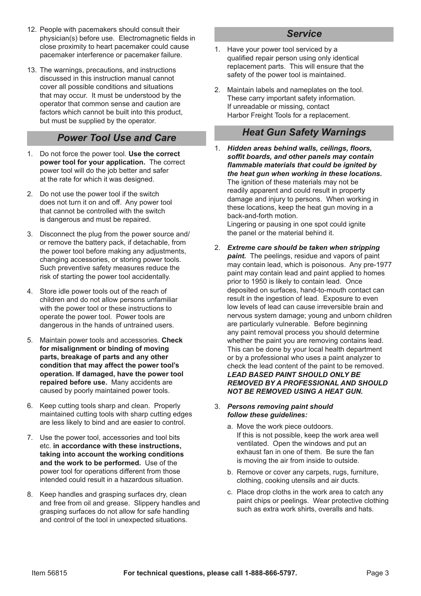- 12. People with pacemakers should consult their physician(s) before use. Electromagnetic fields in close proximity to heart pacemaker could cause pacemaker interference or pacemaker failure.
- 13. The warnings, precautions, and instructions discussed in this instruction manual cannot cover all possible conditions and situations that may occur. It must be understood by the operator that common sense and caution are factors which cannot be built into this product, but must be supplied by the operator.

#### *Power Tool Use and Care*

- 1. Do not force the power tool. **Use the correct power tool for your application.** The correct power tool will do the job better and safer at the rate for which it was designed.
- 2. Do not use the power tool if the switch does not turn it on and off. Any power tool that cannot be controlled with the switch is dangerous and must be repaired.
- 3. Disconnect the plug from the power source and/ or remove the battery pack, if detachable, from the power tool before making any adjustments, changing accessories, or storing power tools. Such preventive safety measures reduce the risk of starting the power tool accidentally.
- 4. Store idle power tools out of the reach of children and do not allow persons unfamiliar with the power tool or these instructions to operate the power tool. Power tools are dangerous in the hands of untrained users.
- 5. Maintain power tools and accessories. **Check for misalignment or binding of moving parts, breakage of parts and any other condition that may affect the power tool's operation. If damaged, have the power tool repaired before use.** Many accidents are caused by poorly maintained power tools.
- 6. Keep cutting tools sharp and clean. Properly maintained cutting tools with sharp cutting edges are less likely to bind and are easier to control.
- 7. Use the power tool, accessories and tool bits etc. **in accordance with these instructions, taking into account the working conditions and the work to be performed.** Use of the power tool for operations different from those intended could result in a hazardous situation.
- 8. Keep handles and grasping surfaces dry, clean and free from oil and grease. Slippery handles and grasping surfaces do not allow for safe handling and control of the tool in unexpected situations.

## *Service*

- 1. Have your power tool serviced by a qualified repair person using only identical replacement parts. This will ensure that the safety of the power tool is maintained.
- 2. Maintain labels and nameplates on the tool. These carry important safety information. If unreadable or missing, contact Harbor Freight Tools for a replacement.

#### *Heat Gun Safety Warnings*

- 1. *Hidden areas behind walls, ceilings, floors, soffit boards, and other panels may contain flammable materials that could be ignited by the heat gun when working in these locations.*  The ignition of these materials may not be readily apparent and could result in property damage and injury to persons. When working in these locations, keep the heat gun moving in a back-and-forth motion. Lingering or pausing in one spot could ignite the panel or the material behind it.
- 2. *Extreme care should be taken when stripping paint.* The peelings, residue and vapors of paint may contain lead, which is poisonous. Any pre-1977 paint may contain lead and paint applied to homes prior to 1950 is likely to contain lead. Once deposited on surfaces, hand-to-mouth contact can result in the ingestion of lead. Exposure to even low levels of lead can cause irreversible brain and nervous system damage; young and unborn children are particularly vulnerable. Before beginning any paint removal process you should determine whether the paint you are removing contains lead. This can be done by your local health department or by a professional who uses a paint analyzer to check the lead content of the paint to be removed. *LEAD BASED PAINT SHOULD ONLY BE REMOVED BY A PROFESSIONAL AND SHOULD NOT BE REMOVED USING A HEAT GUN.*

#### 3. *Persons removing paint should follow these guidelines:*

- a. Move the work piece outdoors. If this is not possible, keep the work area well ventilated. Open the windows and put an exhaust fan in one of them. Be sure the fan is moving the air from inside to outside.
- b. Remove or cover any carpets, rugs, furniture, clothing, cooking utensils and air ducts.
- c. Place drop cloths in the work area to catch any paint chips or peelings. Wear protective clothing such as extra work shirts, overalls and hats.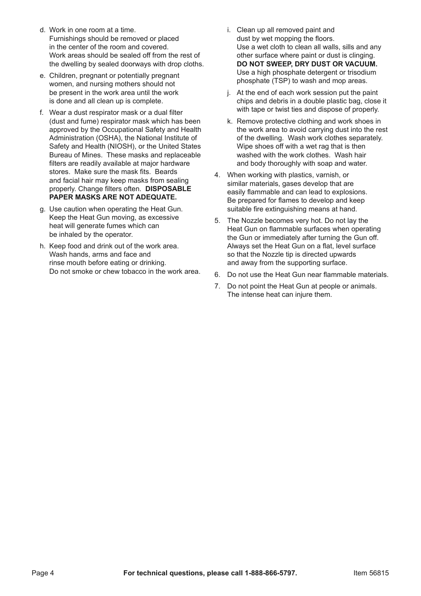- d. Work in one room at a time. Furnishings should be removed or placed in the center of the room and covered. Work areas should be sealed off from the rest of the dwelling by sealed doorways with drop cloths.
- e. Children, pregnant or potentially pregnant women, and nursing mothers should not be present in the work area until the work is done and all clean up is complete.
- f. Wear a dust respirator mask or a dual filter (dust and fume) respirator mask which has been approved by the Occupational Safety and Health Administration (OSHA), the National Institute of Safety and Health (NIOSH), or the United States Bureau of Mines. These masks and replaceable filters are readily available at major hardware stores. Make sure the mask fits. Beards and facial hair may keep masks from sealing properly. Change filters often. **DISPOSABLE PAPER MASKS ARE NOT ADEQUATE.**
- g. Use caution when operating the Heat Gun. Keep the Heat Gun moving, as excessive heat will generate fumes which can be inhaled by the operator.
- h. Keep food and drink out of the work area. Wash hands, arms and face and rinse mouth before eating or drinking. Do not smoke or chew tobacco in the work area.
- i. Clean up all removed paint and dust by wet mopping the floors. Use a wet cloth to clean all walls, sills and any other surface where paint or dust is clinging. **DO NOT SWEEP, DRY DUST OR VACUUM.**  Use a high phosphate detergent or trisodium phosphate (TSP) to wash and mop areas.
- j. At the end of each work session put the paint chips and debris in a double plastic bag, close it with tape or twist ties and dispose of properly.
- k. Remove protective clothing and work shoes in the work area to avoid carrying dust into the rest of the dwelling. Wash work clothes separately. Wipe shoes off with a wet rag that is then washed with the work clothes. Wash hair and body thoroughly with soap and water.
- 4. When working with plastics, varnish, or similar materials, gases develop that are easily flammable and can lead to explosions. Be prepared for flames to develop and keep suitable fire extinguishing means at hand.
- 5. The Nozzle becomes very hot. Do not lay the Heat Gun on flammable surfaces when operating the Gun or immediately after turning the Gun off. Always set the Heat Gun on a flat, level surface so that the Nozzle tip is directed upwards and away from the supporting surface.
- 6. Do not use the Heat Gun near flammable materials.
- 7. Do not point the Heat Gun at people or animals. The intense heat can injure them.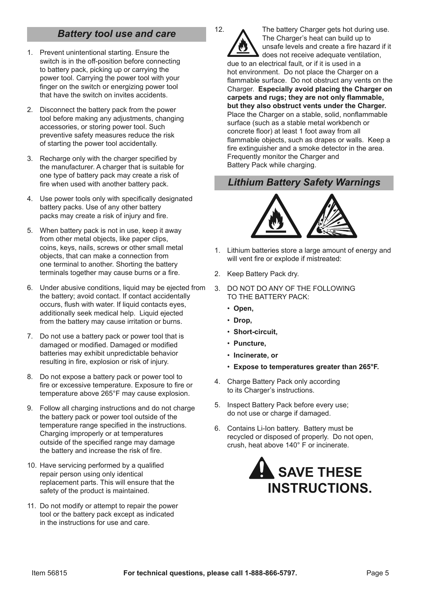#### *Battery tool use and care*

- 1. Prevent unintentional starting. Ensure the switch is in the off-position before connecting to battery pack, picking up or carrying the power tool. Carrying the power tool with your finger on the switch or energizing power tool that have the switch on invites accidents.
- 2. Disconnect the battery pack from the power tool before making any adjustments, changing accessories, or storing power tool. Such preventive safety measures reduce the risk of starting the power tool accidentally.
- 3. Recharge only with the charger specified by the manufacturer. A charger that is suitable for one type of battery pack may create a risk of fire when used with another battery pack
- 4. Use power tools only with specifically designated battery packs. Use of any other battery packs may create a risk of injury and fire.
- 5. When battery pack is not in use, keep it away from other metal objects, like paper clips, coins, keys, nails, screws or other small metal objects, that can make a connection from one terminal to another. Shorting the battery terminals together may cause burns or a fire.
- 6. Under abusive conditions, liquid may be ejected from the battery; avoid contact. If contact accidentally occurs, flush with water. If liquid contacts eyes, additionally seek medical help. Liquid ejected from the battery may cause irritation or burns.
- 7. Do not use a battery pack or power tool that is damaged or modified. Damaged or modified batteries may exhibit unpredictable behavior resulting in fire, explosion or risk of injury.
- 8. Do not expose a battery pack or power tool to fire or excessive temperature. Exposure to fire or temperature above 265°F may cause explosion.
- 9. Follow all charging instructions and do not charge the battery pack or power tool outside of the temperature range specified in the instructions. Charging improperly or at temperatures outside of the specified range may damage the battery and increase the risk of fire.
- 10. Have servicing performed by a qualified repair person using only identical replacement parts. This will ensure that the safety of the product is maintained.
- 11. Do not modify or attempt to repair the power tool or the battery pack except as indicated in the instructions for use and care.

12. The battery Charger gets hot during use. The Charger's heat can build up to unsafe levels and create a fire hazard if it does not receive adequate ventilation, due to an electrical fault, or if it is used in a hot environment. Do not place the Charger on a flammable surface. Do not obstruct any vents on the Charger. **Especially avoid placing the Charger on carpets and rugs; they are not only flammable, but they also obstruct vents under the Charger.**  Place the Charger on a stable, solid, nonflammable surface (such as a stable metal workbench or concrete floor) at least 1 foot away from all flammable objects, such as drapes or walls. Keep a fire extinguisher and a smoke detector in the area. Frequently monitor the Charger and Battery Pack while charging.

#### *Lithium Battery Safety Warnings*



- 1. Lithium batteries store a large amount of energy and will vent fire or explode if mistreated:
- 2. Keep Battery Pack dry.
- 3. DO NOT DO ANY OF THE FOLLOWING TO THE BATTERY PACK:
	- **Open,**
	- **Drop,**
	- **Short-circuit,**
	- **Puncture,**
	- **Incinerate, or**
	- **Expose to temperatures greater than 265°F.**
- 4. Charge Battery Pack only according to its Charger's instructions.
- 5. Inspect Battery Pack before every use; do not use or charge if damaged.
- 6. Contains Li-Ion battery. Battery must be recycled or disposed of properly. Do not open, crush, heat above 140° F or incinerate.

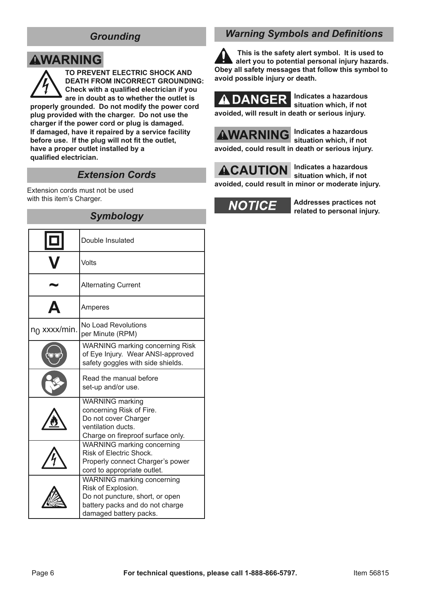#### *Grounding*

# **AWARNING**

**TO PREVENT ELECTRIC SHOCK AND DEATH FROM INCORRECT GROUNDING: Check with a qualified electrician if you are in doubt as to whether the outlet is properly grounded. Do not modify the power cord plug provided with the charger. Do not use the charger if the power cord or plug is damaged. If damaged, have it repaired by a service facility before use. If the plug will not fit the outlet, have a proper outlet installed by a** 

**qualified electrician.**

#### *Extension Cords*

Extension cords must not be used with this item's Charger.

### *Symbology*

|              | Double Insulated                                                                                                                                 |  |
|--------------|--------------------------------------------------------------------------------------------------------------------------------------------------|--|
|              | Volts                                                                                                                                            |  |
|              | <b>Alternating Current</b>                                                                                                                       |  |
|              | Amperes                                                                                                                                          |  |
| no xxxx/min. | No Load Revolutions<br>per Minute (RPM)                                                                                                          |  |
|              | <b>WARNING marking concerning Risk</b><br>of Eye Injury. Wear ANSI-approved<br>safety goggles with side shields.                                 |  |
|              | Read the manual before<br>set-up and/or use.                                                                                                     |  |
|              | <b>WARNING</b> marking<br>concerning Risk of Fire.<br>Do not cover Charger<br>ventilation ducts.<br>Charge on fireproof surface only.            |  |
|              | WARNING marking concerning<br>Risk of Electric Shock.<br>Properly connect Charger's power<br>cord to appropriate outlet.                         |  |
|              | WARNING marking concerning<br>Risk of Explosion.<br>Do not puncture, short, or open<br>battery packs and do not charge<br>damaged battery packs. |  |

# *Warning Symbols and Definitions*

**This is the safety alert symbol. It is used to alert you to potential personal injury hazards. Obey all safety messages that follow this symbol to avoid possible injury or death.**



**Indicates a hazardous situation which, if not avoided, will result in death or serious injury.**



**Indicates a hazardous situation which, if not avoided, could result in death or serious injury.**

**ACAUTION** 

**Indicates a hazardous situation which, if not** 

**avoided, could result in minor or moderate injury.**

**NOTICE** 

**Addresses practices not related to personal injury.**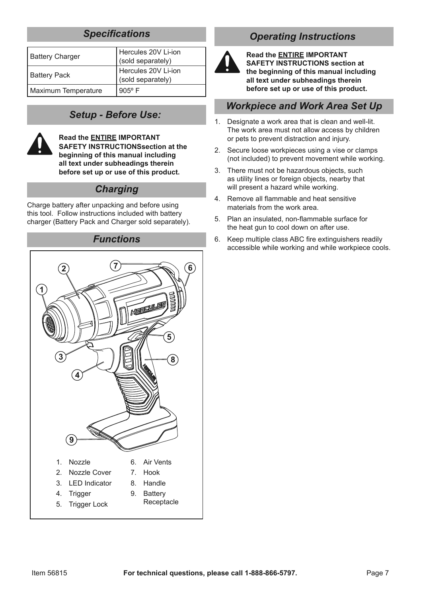## *Specifications*

| <b>Battery Charger</b> | Hercules 20V Li-ion<br>(sold separately) |
|------------------------|------------------------------------------|
| <b>Battery Pack</b>    | Hercules 20V Li-ion<br>(sold separately) |
| Maximum Temperature    | $905^{\circ}$ F                          |

## *Setup - Before Use:*



**Read the ENTIRE IMPORTANT SAFETY INSTRUCTIONSsection at the beginning of this manual including all text under subheadings therein before set up or use of this product.**

#### *Charging*

Charge battery after unpacking and before using this tool. Follow instructions included with battery charger (Battery Pack and Charger sold separately).

# *Functions*



# *Operating Instructions*



**Read the ENTIRE IMPORTANT SAFETY INSTRUCTIONS section at the beginning of this manual including all text under subheadings therein before set up or use of this product.**

#### *Workpiece and Work Area Set Up*

- 1. Designate a work area that is clean and well-lit. The work area must not allow access by children or pets to prevent distraction and injury.
- 2. Secure loose workpieces using a vise or clamps (not included) to prevent movement while working.
- 3. There must not be hazardous objects, such as utility lines or foreign objects, nearby that will present a hazard while working.
- 4. Remove all flammable and heat sensitive materials from the work area.
- 5. Plan an insulated, non-flammable surface for the heat gun to cool down on after use.
- 6. Keep multiple class ABC fire extinguishers readily accessible while working and while workpiece cools.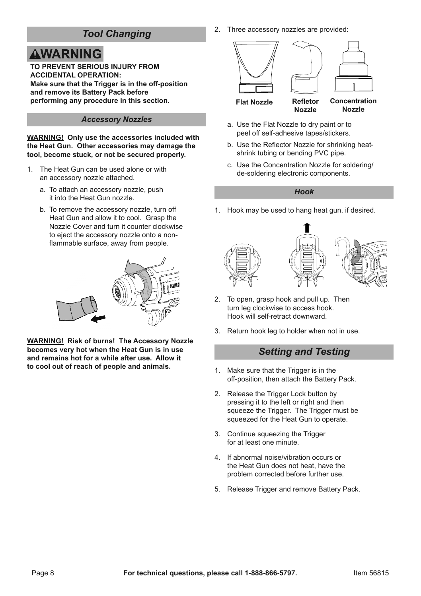### *Tool Changing*

# **AWARNING**

**TO PREVENT SERIOUS INJURY FROM ACCIDENTAL OPERATION: Make sure that the Trigger is in the off-position**  and remove its Battery Pack before **performing any procedure in this section.**

#### *Accessory Nozzles*

#### **WARNING! Only use the accessories included with the Heat Gun. Other accessories may damage the tool, become stuck, or not be secured properly.**

- 1. The Heat Gun can be used alone or with an accessory nozzle attached.
	- a. To attach an accessory nozzle, push it into the Heat Gun nozzle.
	- b. To remove the accessory nozzle, turn off Heat Gun and allow it to cool. Grasp the Nozzle Cover and turn it counter clockwise to eject the accessory nozzle onto a nonflammable surface, away from people.



**WARNING! Risk of burns! The Accessory Nozzle becomes very hot when the Heat Gun is in use and remains hot for a while after use. Allow it to cool out of reach of people and animals.** 

2. Three accessory nozzles are provided:



- a. Use the Flat Nozzle to dry paint or to peel off self-adhesive tapes/stickers.
- b. Use the Reflector Nozzle for shrinking heatshrink tubing or bending PVC pipe.
- c. Use the Concentration Nozzle for soldering/ de-soldering electronic components.

#### *Hook*

1. Hook may be used to hang heat gun, if desired.



- 2. To open, grasp hook and pull up. Then turn leg clockwise to access hook. Hook will self-retract downward.
- 3. Return hook leg to holder when not in use.

#### *Setting and Testing*

- 1. Make sure that the Trigger is in the off-position, then attach the Battery Pack.
- 2. Release the Trigger Lock button by pressing it to the left or right and then squeeze the Trigger. The Trigger must be squeezed for the Heat Gun to operate.
- 3. Continue squeezing the Trigger for at least one minute.
- 4. If abnormal noise/vibration occurs or the Heat Gun does not heat, have the problem corrected before further use.
- 5. Release Trigger and remove Battery Pack.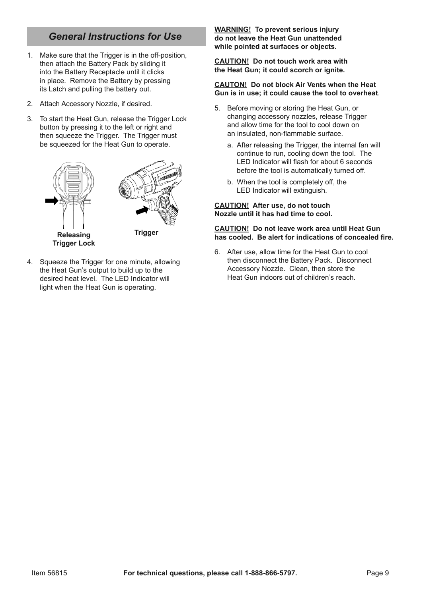## *General Instructions for Use*

- 1. Make sure that the Trigger is in the off-position, then attach the Battery Pack by sliding it into the Battery Receptacle until it clicks in place. Remove the Battery by pressing its Latch and pulling the battery out.
- 2. Attach Accessory Nozzle, if desired.
- 3. To start the Heat Gun, release the Trigger Lock button by pressing it to the left or right and then squeeze the Trigger. The Trigger must be squeezed for the Heat Gun to operate.



4. Squeeze the Trigger for one minute, allowing the Heat Gun's output to build up to the desired heat level. The LED Indicator will light when the Heat Gun is operating.

**WARNING! To prevent serious injury do not leave the Heat Gun unattended while pointed at surfaces or objects.**

**CAUTION! Do not touch work area with the Heat Gun; it could scorch or ignite.**

#### **CAUTON! Do not block Air Vents when the Heat Gun is in use; it could cause the tool to overheat**.

- 5. Before moving or storing the Heat Gun, or changing accessory nozzles, release Trigger and allow time for the tool to cool down on an insulated, non-flammable surface.
	- a. After releasing the Trigger, the internal fan will continue to run, cooling down the tool. The LED Indicator will flash for about 6 seconds before the tool is automatically turned off.
	- b. When the tool is completely off, the LED Indicator will extinguish.

**CAUTION! After use, do not touch Nozzle until it has had time to cool.**

#### **CAUTION! Do not leave work area until Heat Gun has cooled. Be alert for indications of concealed fire.**

6. After use, allow time for the Heat Gun to cool then disconnect the Battery Pack. Disconnect Accessory Nozzle. Clean, then store the Heat Gun indoors out of children's reach.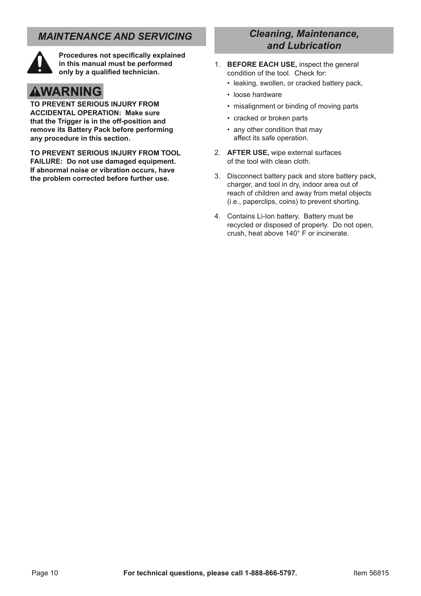## *MAINTENANCE AND SERVICING*



**Procedures not specifically explained in this manual must be performed only by a qualified technician.**

# **AWARNING**

**TO PREVENT SERIOUS INJURY FROM ACCIDENTAL OPERATION: Make sure that the Trigger is in the off-position and remove its Battery Pack before performing any procedure in this section.**

**TO PREVENT SERIOUS INJURY FROM TOOL FAILURE: Do not use damaged equipment. If abnormal noise or vibration occurs, have the problem corrected before further use.**

#### *Cleaning, Maintenance, and Lubrication*

- 1. **BEFORE EACH USE,** inspect the general condition of the tool. Check for:
	- leaking, swollen, or cracked battery pack,
	- loose hardware
	- misalignment or binding of moving parts
	- cracked or broken parts
	- any other condition that may affect its safe operation.
- 2. **AFTER USE,** wipe external surfaces of the tool with clean cloth.
- 3. Disconnect battery pack and store battery pack, charger, and tool in dry, indoor area out of reach of children and away from metal objects (i.e., paperclips, coins) to prevent shorting.
- 4. Contains Li-Ion battery. Battery must be recycled or disposed of properly. Do not open, crush, heat above 140° F or incinerate.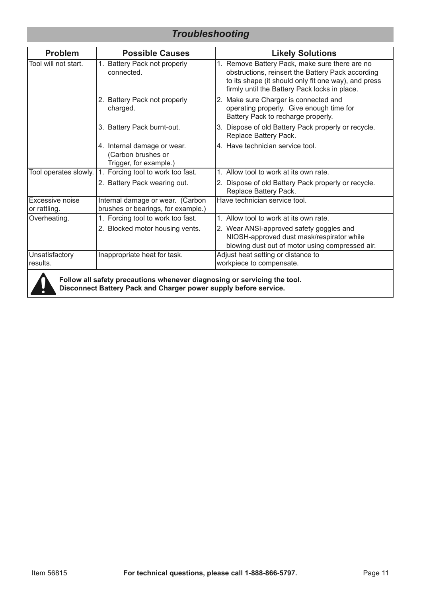## *Troubleshooting*

| <b>Problem</b>                                                  | <b>Possible Causes</b>                                                      | <b>Likely Solutions</b>                                                                                                                                                                                      |
|-----------------------------------------------------------------|-----------------------------------------------------------------------------|--------------------------------------------------------------------------------------------------------------------------------------------------------------------------------------------------------------|
| Tool will not start.<br>Battery Pack not properly<br>connected. |                                                                             | 1. Remove Battery Pack, make sure there are no<br>obstructions, reinsert the Battery Pack according<br>to its shape (it should only fit one way), and press<br>firmly until the Battery Pack locks in place. |
|                                                                 | 2. Battery Pack not properly<br>charged.                                    | 2. Make sure Charger is connected and<br>operating properly. Give enough time for<br>Battery Pack to recharge properly.                                                                                      |
|                                                                 | 3. Battery Pack burnt-out.                                                  | 3. Dispose of old Battery Pack properly or recycle.<br>Replace Battery Pack.                                                                                                                                 |
|                                                                 | 4. Internal damage or wear.<br>(Carbon brushes or<br>Trigger, for example.) | 4. Have technician service tool.                                                                                                                                                                             |
| Tool operates slowly.                                           | 1. Forcing tool to work too fast.                                           | 1. Allow tool to work at its own rate.                                                                                                                                                                       |
|                                                                 | 2. Battery Pack wearing out.                                                | 2. Dispose of old Battery Pack properly or recycle.<br>Replace Battery Pack.                                                                                                                                 |
| Excessive noise<br>or rattling.                                 | Internal damage or wear. (Carbon<br>brushes or bearings, for example.)      | Have technician service tool.                                                                                                                                                                                |
| Overheating.                                                    | 1. Forcing tool to work too fast.                                           | Allow tool to work at its own rate.<br>1                                                                                                                                                                     |
|                                                                 | 2. Blocked motor housing vents.                                             | 2. Wear ANSI-approved safety goggles and<br>NIOSH-approved dust mask/respirator while<br>blowing dust out of motor using compressed air.                                                                     |
| Unsatisfactory<br>results.                                      | Inappropriate heat for task.                                                | Adjust heat setting or distance to<br>workpiece to compensate.                                                                                                                                               |
|                                                                 |                                                                             |                                                                                                                                                                                                              |



**Follow all safety precautions whenever diagnosing or servicing the tool. Disconnect Battery Pack and Charger power supply before service.**